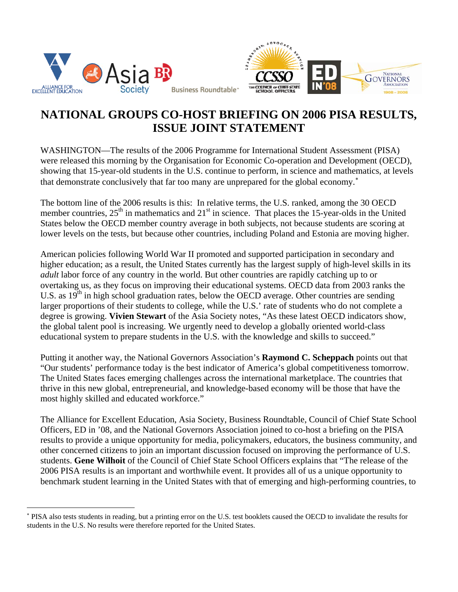

## **NATIONAL GROUPS CO-HOST BRIEFING ON 2006 PISA RESULTS, ISSUE JOINT STATEMENT**

WASHINGTON—The results of the 2006 Programme for International Student Assessment (PISA) were released this morning by the Organisation for Economic Co-operation and Development (OECD), showing that 15-year-old students in the U.S. continue to perform, in science and mathematics, at levels that demonstrate conclusively that far too many are unprepared for the global economy.<sup>\*</sup>

The bottom line of the 2006 results is this: In relative terms, the U.S. ranked, among the 30 OECD member countries,  $25<sup>th</sup>$  in mathematics and  $21<sup>st</sup>$  in science. That places the 15-year-olds in the United States below the OECD member country average in both subjects, not because students are scoring at lower levels on the tests, but because other countries, including Poland and Estonia are moving higher.

American policies following World War II promoted and supported participation in secondary and higher education; as a result, the United States currently has the largest supply of high-level skills in its *adult* labor force of any country in the world. But other countries are rapidly catching up to or overtaking us, as they focus on improving their educational systems. OECD data from 2003 ranks the U.S. as  $19<sup>th</sup>$  in high school graduation rates, below the OECD average. Other countries are sending larger proportions of their students to college, while the U.S.' rate of students who do not complete a degree is growing. **Vivien Stewart** of the Asia Society notes, "As these latest OECD indicators show, the global talent pool is increasing. We urgently need to develop a globally oriented world-class educational system to prepare students in the U.S. with the knowledge and skills to succeed."

Putting it another way, the National Governors Association's **Raymond C. Scheppach** points out that "Our students' performance today is the best indicator of America's global competitiveness tomorrow. The United States faces emerging challenges across the international marketplace. The countries that thrive in this new global, entrepreneurial, and knowledge-based economy will be those that have the most highly skilled and educated workforce."

The Alliance for Excellent Education, Asia Society, Business Roundtable, Council of Chief State School Officers, ED in '08, and the National Governors Association joined to co-host a briefing on the PISA results to provide a unique opportunity for media, policymakers, educators, the business community, and other concerned citizens to join an important discussion focused on improving the performance of U.S. students. **Gene Wilhoit** of the Council of Chief State School Officers explains that "The release of the 2006 PISA results is an important and worthwhile event. It provides all of us a unique opportunity to benchmark student learning in the United States with that of emerging and high-performing countries, to

 $\overline{a}$ 

<span id="page-0-0"></span><sup>∗</sup> PISA also tests students in reading, but a printing error on the U.S. test booklets caused the OECD to invalidate the results for students in the U.S. No results were therefore reported for the United States.